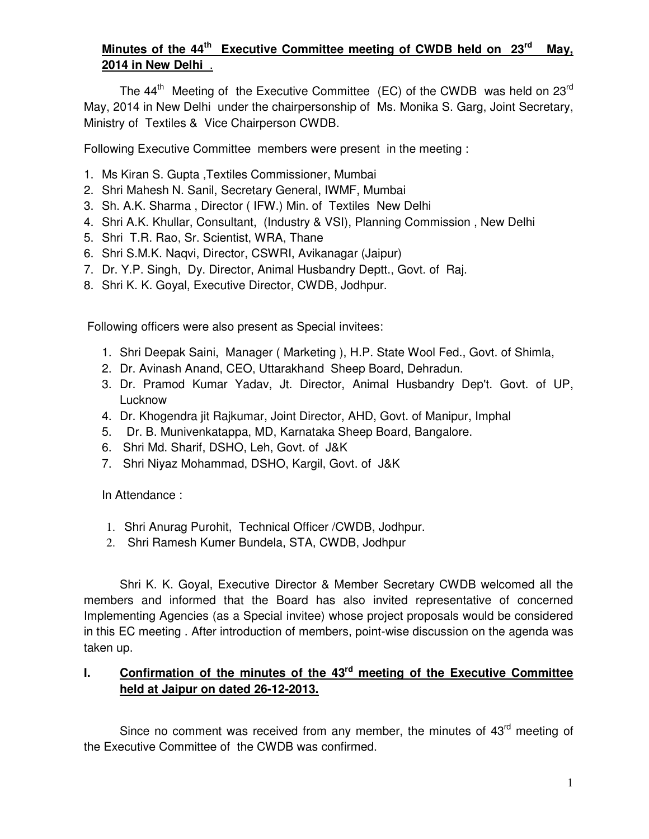# **Minutes of the 44th Executive Committee meeting of CWDB held on 23rd May, 2014 in New Delhi** .

The  $44<sup>th</sup>$  Meeting of the Executive Committee (EC) of the CWDB was held on 23<sup>rd</sup> May, 2014 in New Delhi under the chairpersonship of Ms. Monika S. Garg, Joint Secretary, Ministry of Textiles & Vice Chairperson CWDB.

Following Executive Committee members were present in the meeting :

- 1. Ms Kiran S. Gupta ,Textiles Commissioner, Mumbai
- 2. Shri Mahesh N. Sanil, Secretary General, IWMF, Mumbai
- 3. Sh. A.K. Sharma , Director ( IFW.) Min. of Textiles New Delhi
- 4. Shri A.K. Khullar, Consultant, (Industry & VSI), Planning Commission , New Delhi
- 5. Shri T.R. Rao, Sr. Scientist, WRA, Thane
- 6. Shri S.M.K. Naqvi, Director, CSWRI, Avikanagar (Jaipur)
- 7. Dr. Y.P. Singh, Dy. Director, Animal Husbandry Deptt., Govt. of Raj.
- 8. Shri K. K. Goyal, Executive Director, CWDB, Jodhpur.

Following officers were also present as Special invitees:

- 1. Shri Deepak Saini, Manager ( Marketing ), H.P. State Wool Fed., Govt. of Shimla,
- 2. Dr. Avinash Anand, CEO, Uttarakhand Sheep Board, Dehradun.
- 3. Dr. Pramod Kumar Yadav, Jt. Director, Animal Husbandry Dep't. Govt. of UP, Lucknow
- 4. Dr. Khogendra jit Rajkumar, Joint Director, AHD, Govt. of Manipur, Imphal
- 5. Dr. B. Munivenkatappa, MD, Karnataka Sheep Board, Bangalore.
- 6. Shri Md. Sharif, DSHO, Leh, Govt. of J&K
- 7. Shri Niyaz Mohammad, DSHO, Kargil, Govt. of J&K

In Attendance :

- 1. Shri Anurag Purohit, Technical Officer /CWDB, Jodhpur.
- 2. Shri Ramesh Kumer Bundela, STA, CWDB, Jodhpur

Shri K. K. Goyal, Executive Director & Member Secretary CWDB welcomed all the members and informed that the Board has also invited representative of concerned Implementing Agencies (as a Special invitee) whose project proposals would be considered in this EC meeting . After introduction of members, point-wise discussion on the agenda was taken up.

# **I. Confirmation of the minutes of the 43rd meeting of the Executive Committee held at Jaipur on dated 26-12-2013.**

Since no comment was received from any member, the minutes of 43<sup>rd</sup> meeting of the Executive Committee of the CWDB was confirmed.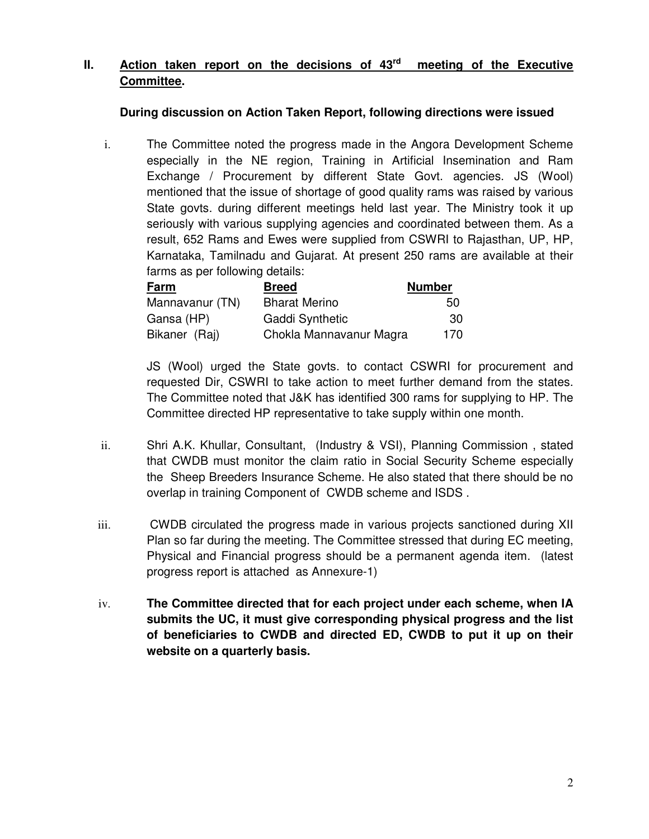# **II. Action taken report on the decisions of 43rd meeting of the Executive Committee.**

# **During discussion on Action Taken Report, following directions were issued**

i. The Committee noted the progress made in the Angora Development Scheme especially in the NE region, Training in Artificial Insemination and Ram Exchange / Procurement by different State Govt. agencies. JS (Wool) mentioned that the issue of shortage of good quality rams was raised by various State govts. during different meetings held last year. The Ministry took it up seriously with various supplying agencies and coordinated between them. As a result, 652 Rams and Ewes were supplied from CSWRI to Rajasthan, UP, HP, Karnataka, Tamilnadu and Gujarat. At present 250 rams are available at their farms as per following details:

| Farm            | <b>Breed</b>            | <b>Number</b> |
|-----------------|-------------------------|---------------|
| Mannavanur (TN) | <b>Bharat Merino</b>    | 50            |
| Gansa (HP)      | Gaddi Synthetic         | 30            |
| Bikaner (Raj)   | Chokla Mannavanur Magra | 170           |

JS (Wool) urged the State govts. to contact CSWRI for procurement and requested Dir, CSWRI to take action to meet further demand from the states. The Committee noted that J&K has identified 300 rams for supplying to HP. The Committee directed HP representative to take supply within one month.

- ii. Shri A.K. Khullar, Consultant, (Industry & VSI), Planning Commission , stated that CWDB must monitor the claim ratio in Social Security Scheme especially the Sheep Breeders Insurance Scheme. He also stated that there should be no overlap in training Component of CWDB scheme and ISDS .
- iii. CWDB circulated the progress made in various projects sanctioned during XII Plan so far during the meeting. The Committee stressed that during EC meeting, Physical and Financial progress should be a permanent agenda item. (latest progress report is attached as Annexure-1)
- iv. **The Committee directed that for each project under each scheme, when IA submits the UC, it must give corresponding physical progress and the list of beneficiaries to CWDB and directed ED, CWDB to put it up on their website on a quarterly basis.**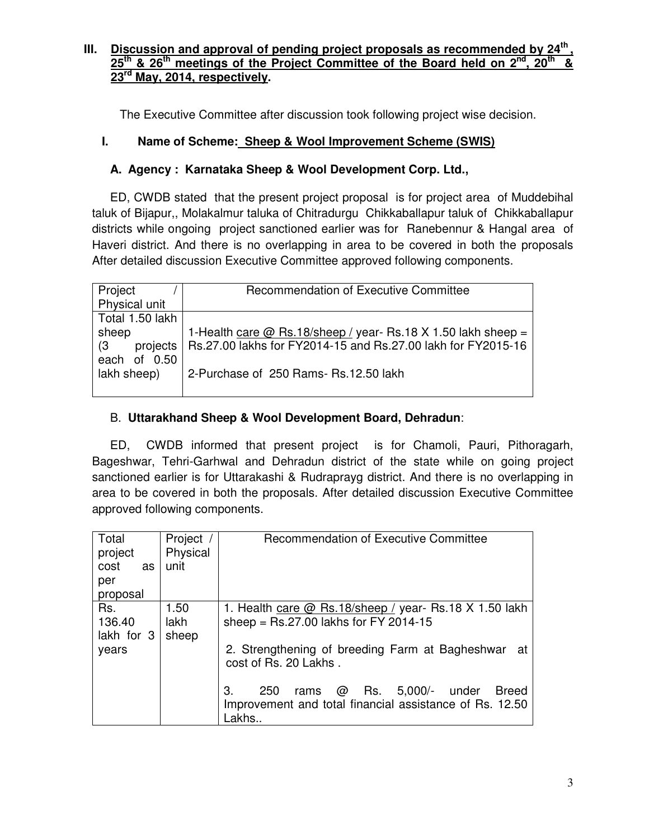#### **III. Discussion and approval of pending project proposals as recommended by 24th , 25th & 26th meetings of the Project Committee of the Board held on 2nd, 20th & 23rd May, 2014, respectively.**

The Executive Committee after discussion took following project wise decision.

# **I. Name of Scheme: Sheep & Wool Improvement Scheme (SWIS)**

# **A. Agency : Karnataka Sheep & Wool Development Corp. Ltd.,**

ED, CWDB stated that the present project proposal is for project area of Muddebihal taluk of Bijapur,, Molakalmur taluka of Chitradurgu Chikkaballapur taluk of Chikkaballapur districts while ongoing project sanctioned earlier was for Ranebennur & Hangal area of Haveri district. And there is no overlapping in area to be covered in both the proposals After detailed discussion Executive Committee approved following components.

| Project         | <b>Recommendation of Executive Committee</b>                            |
|-----------------|-------------------------------------------------------------------------|
| Physical unit   |                                                                         |
| Total 1.50 lakh |                                                                         |
| sheep           | 1-Health care @ Rs.18/sheep / year- Rs.18 X 1.50 lakh sheep =           |
| $\sqrt{3}$      | projects   Rs.27.00 lakhs for FY2014-15 and Rs.27.00 lakh for FY2015-16 |
| each of 0.50    |                                                                         |
| lakh sheep)     | 2-Purchase of 250 Rams- Rs.12.50 lakh                                   |
|                 |                                                                         |

# B. **Uttarakhand Sheep & Wool Development Board, Dehradun**:

ED, CWDB informed that present project is for Chamoli, Pauri, Pithoragarh, Bageshwar, Tehri-Garhwal and Dehradun district of the state while on going project sanctioned earlier is for Uttarakashi & Rudraprayg district. And there is no overlapping in area to be covered in both the proposals. After detailed discussion Executive Committee approved following components.

| Total      | Project  | Recommendation of Executive Committee                               |
|------------|----------|---------------------------------------------------------------------|
| project    | Physical |                                                                     |
| cost<br>as | unit     |                                                                     |
| per        |          |                                                                     |
| proposal   |          |                                                                     |
| Rs.        | 1.50     | 1. Health care $@$ Rs. 18/sheep / year- Rs. 18 X 1.50 lakh          |
| 136.40     | lakh     | sheep = $Rs.27.00$ lakhs for FY 2014-15                             |
| lakh for 3 | sheep    |                                                                     |
| years      |          | 2. Strengthening of breeding Farm at Bagheshwar<br>at               |
|            |          | cost of Rs. 20 Lakhs.                                               |
|            |          |                                                                     |
|            |          | 250<br>$5,000/-$<br><b>Breed</b><br>З.<br>Rs.<br>@<br>under<br>rams |
|            |          | Improvement and total financial assistance of Rs. 12.50             |
|            |          | Lakhs                                                               |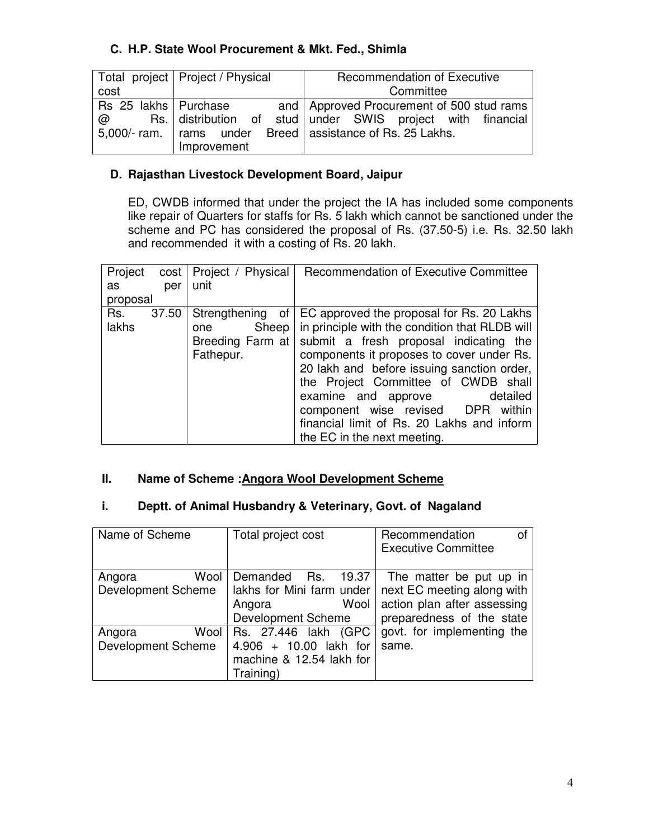# **C. H.P. State Wool Procurement & Mkt. Fed., Shimla**

|                        | Total project   Project / Physical | <b>Recommendation of Executive</b>                            |
|------------------------|------------------------------------|---------------------------------------------------------------|
| cost                   |                                    | Committee                                                     |
| Rs 25 lakhs   Purchase |                                    | and   Approved Procurement of 500 stud rams                   |
| $\omega$               |                                    | Rs. distribution of stud under SWIS project with financial    |
|                        |                                    | 5,000/- ram.   rams under Breed   assistance of Rs. 25 Lakhs. |
|                        | Improvement                        |                                                               |

### **D. Rajasthan Livestock Development Board, Jaipur**

ED, CWDB informed that under the project the IA has included some components like repair of Quarters for staffs for Rs. 5 lakh which cannot be sanctioned under the scheme and PC has considered the proposal of Rs. (37.50-5) i.e. Rs. 32.50 lakh and recommended it with a costing of Rs. 20 lakh.

| Project<br>cost       | Project / Physical                                                  | Recommendation of Executive Committee                                                                                                                                                                                                                                                                                                                                                                                        |
|-----------------------|---------------------------------------------------------------------|------------------------------------------------------------------------------------------------------------------------------------------------------------------------------------------------------------------------------------------------------------------------------------------------------------------------------------------------------------------------------------------------------------------------------|
| as<br>per             | unit                                                                |                                                                                                                                                                                                                                                                                                                                                                                                                              |
| proposal              |                                                                     |                                                                                                                                                                                                                                                                                                                                                                                                                              |
| Rs.<br>37.50<br>lakhs | Strengthening of<br>Sheep  <br>one<br>Breeding Farm at<br>Fathepur. | EC approved the proposal for Rs. 20 Lakhs<br>in principle with the condition that RLDB will<br>submit a fresh proposal indicating the<br>components it proposes to cover under Rs.<br>20 lakh and before issuing sanction order,<br>the Project Committee of CWDB shall<br>examine and approve<br>detailed<br>component wise revised DPR within<br>financial limit of Rs. 20 Lakhs and inform<br>the EC in the next meeting. |

### **II. Name of Scheme :Angora Wool Development Scheme**

#### **i. Deptt. of Animal Husbandry & Veterinary, Govt. of Nagaland**

| Name of Scheme            | Total project cost        | Recommendation<br>οf        |
|---------------------------|---------------------------|-----------------------------|
|                           |                           | <b>Executive Committee</b>  |
|                           |                           |                             |
| Wool<br>Angora            | Demanded<br>Rs.<br>19.37  | The matter be put up in     |
| <b>Development Scheme</b> | lakhs for Mini farm under | next EC meeting along with  |
|                           | Wool<br>Angora            | action plan after assessing |
|                           | <b>Development Scheme</b> | preparedness of the state   |
| Wool<br>Angora            | Rs. 27.446 lakh (GPC      | govt. for implementing the  |
| <b>Development Scheme</b> | 4.906 + 10.00 lakh for    | same.                       |
|                           | machine & 12.54 lakh for  |                             |
|                           | Training)                 |                             |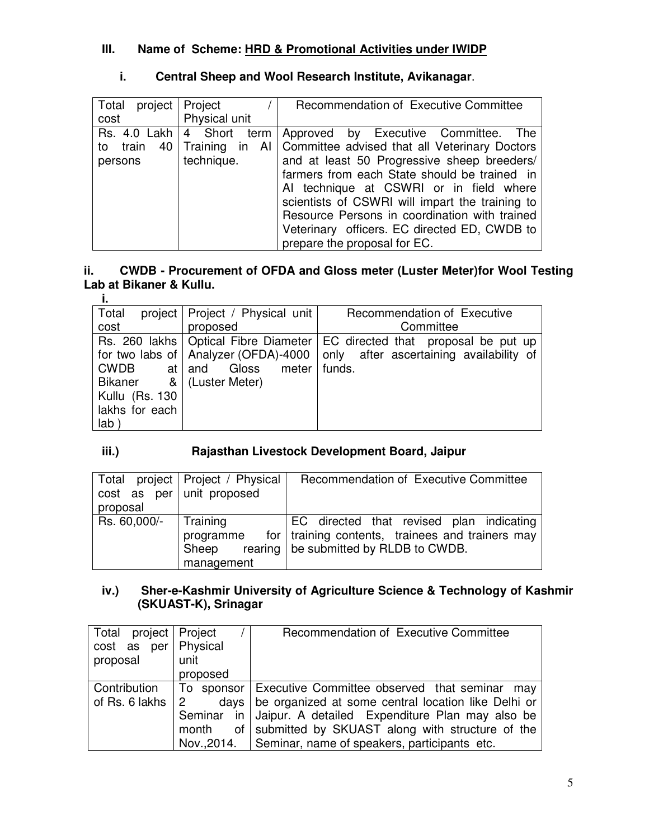# **III. Name of Scheme: HRD & Promotional Activities under IWIDP**

| Total<br>project<br>cost                    | Project<br>Physical unit                             | Recommendation of Executive Committee                                                                                                                                                                                                                                                                                                                                                                                    |
|---------------------------------------------|------------------------------------------------------|--------------------------------------------------------------------------------------------------------------------------------------------------------------------------------------------------------------------------------------------------------------------------------------------------------------------------------------------------------------------------------------------------------------------------|
| Rs. 4.0 Lakh  <br>40<br>to train<br>persons | 4 Short term<br>Training<br>in<br>- Al<br>technique. | Approved by Executive Committee.<br>The<br>  Committee advised that all Veterinary Doctors<br>and at least 50 Progressive sheep breeders/<br>farmers from each State should be trained in<br>Al technique at CSWRI or in field where<br>scientists of CSWRI will impart the training to<br>Resource Persons in coordination with trained<br>Veterinary officers. EC directed ED, CWDB to<br>prepare the proposal for EC. |

# **i. Central Sheep and Wool Research Institute, Avikanagar**.

#### **ii. CWDB - Procurement of OFDA and Gloss meter (Luster Meter)for Wool Testing Lab at Bikaner & Kullu. i.**

| Total                    | project   Project / Physical unit      | Recommendation of Executive                                                  |
|--------------------------|----------------------------------------|------------------------------------------------------------------------------|
| cost                     | proposed                               | Committee                                                                    |
|                          |                                        | Rs. 260 lakhs   Optical Fibre Diameter   EC directed that proposal be put up |
|                          | for two labs of   Analyzer (OFDA)-4000 | only after ascertaining availability of                                      |
| CWDB                     | at and Gloss meter                     | funds.                                                                       |
| Bikaner & (Luster Meter) |                                        |                                                                              |
| Kullu (Rs. 130           |                                        |                                                                              |
| lakhs for each           |                                        |                                                                              |
| lab i                    |                                        |                                                                              |

# **iii.) Rajasthan Livestock Development Board, Jaipur**

| $cost$ as per unit proposed<br>proposal | Total project   Project / Physical           | Recommendation of Executive Committee                                                                                                     |
|-----------------------------------------|----------------------------------------------|-------------------------------------------------------------------------------------------------------------------------------------------|
| Rs. 60,000/-                            | Training<br>programme<br>Sheep<br>management | EC directed that revised plan indicating<br>for   training contents, trainees and trainers may<br>rearing   be submitted by RLDB to CWDB. |

# **iv.) Sher-e-Kashmir University of Agriculture Science & Technology of Kashmir (SKUAST-K), Srinagar**

| Total project   Project    |          | Recommendation of Executive Committee                       |
|----------------------------|----------|-------------------------------------------------------------|
| cost as per Physical       |          |                                                             |
| proposal                   | unit     |                                                             |
|                            | proposed |                                                             |
| Contribution               |          | To sponsor Executive Committee observed that seminar<br>mav |
| of Rs. 6 lakhs $\parallel$ |          | days   be organized at some central location like Delhi or  |
|                            |          | Seminar in Jaipur. A detailed Expenditure Plan may also be  |
|                            | month    | of submitted by SKUAST along with structure of the          |
|                            |          | Nov., 2014. Seminar, name of speakers, participants etc.    |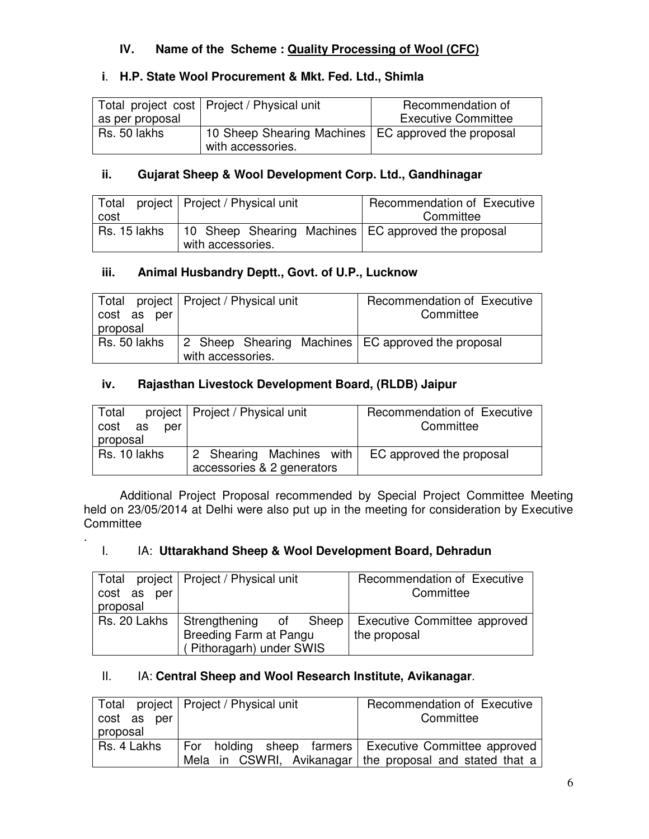# **IV. Name of the Scheme : Quality Processing of Wool (CFC)**

# **i**. **H.P. State Wool Procurement & Mkt. Fed. Ltd., Shimla**

|                 | Total project cost   Project / Physical unit          | Recommendation of          |
|-----------------|-------------------------------------------------------|----------------------------|
| as per proposal |                                                       | <b>Executive Committee</b> |
| Rs. 50 lakhs    | 10 Sheep Shearing Machines   EC approved the proposal |                            |
|                 | with accessories.                                     |                            |

# **ii. Gujarat Sheep & Wool Development Corp. Ltd., Gandhinagar**

| Total        | project   Project / Physical unit                                          | Recommendation of Executive |
|--------------|----------------------------------------------------------------------------|-----------------------------|
| cost         |                                                                            | Committee                   |
| Rs. 15 lakhs | 10 Sheep Shearing Machines   EC approved the proposal<br>with accessories. |                             |

# **iii. Animal Husbandry Deptt., Govt. of U.P., Lucknow**

| cost as per<br>proposal | Total project   Project / Physical unit                                   | Recommendation of Executive<br>Committee |
|-------------------------|---------------------------------------------------------------------------|------------------------------------------|
| Rs. 50 lakhs            | 2 Sheep Shearing Machines   EC approved the proposal<br>with accessories. |                                          |

# **iv. Rajasthan Livestock Development Board, (RLDB) Jaipur**

| Total<br>cost as<br>per<br>proposal | project   Project / Physical unit                      | Recommendation of Executive<br>Committee |
|-------------------------------------|--------------------------------------------------------|------------------------------------------|
| Rs. 10 lakhs                        | 2 Shearing Machines with<br>accessories & 2 generators | EC approved the proposal                 |

 Additional Project Proposal recommended by Special Project Committee Meeting held on 23/05/2014 at Delhi were also put up in the meeting for consideration by Executive **Committee** 

# I. IA: **Uttarakhand Sheep & Wool Development Board, Dehradun**

.

| cost as<br>per<br>proposal | Total project   Project / Physical unit                                      | Recommendation of Executive<br>Committee            |
|----------------------------|------------------------------------------------------------------------------|-----------------------------------------------------|
| Rs. 20 Lakhs               | Strengthening of Sheep<br>Breeding Farm at Pangu<br>(Pithoragarh) under SWIS | <b>Executive Committee approved</b><br>the proposal |

# II. IA: **Central Sheep and Wool Research Institute, Avikanagar**.

| cost as per<br>proposal | Total project   Project / Physical unit | Recommendation of Executive<br>Committee                                                                           |
|-------------------------|-----------------------------------------|--------------------------------------------------------------------------------------------------------------------|
| Rs. 4 Lakhs             |                                         | For holding sheep farmers Executive Committee approved<br>Mela in CSWRI, Avikanagar the proposal and stated that a |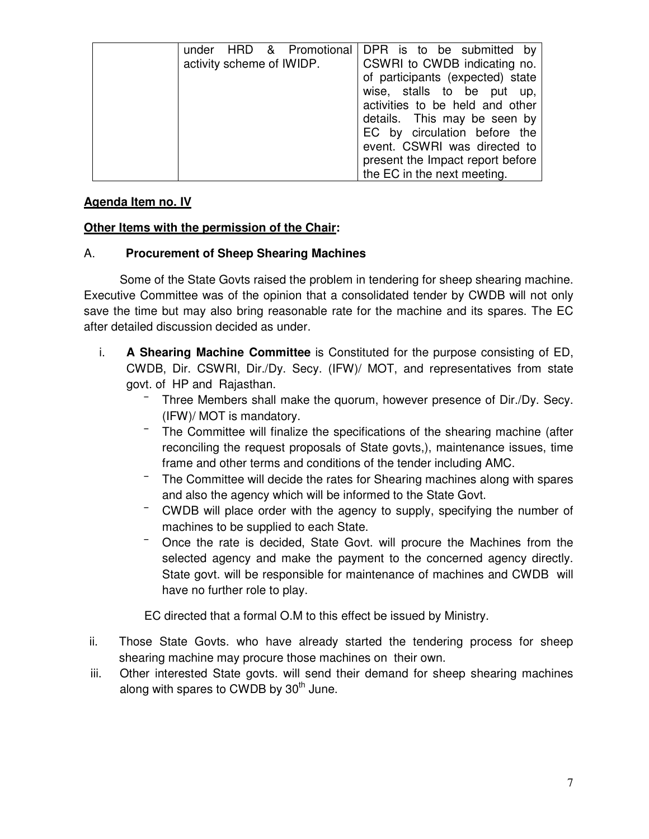| activity scheme of IWIDP. | under HRD & Promotional DPR is to be submitted by<br>CSWRI to CWDB indicating no.<br>of participants (expected) state<br>wise, stalls to be put<br>up,<br>activities to be held and other<br>details. This may be seen by<br>EC by circulation before the<br>event. CSWRI was directed to<br>present the Impact report before |
|---------------------------|-------------------------------------------------------------------------------------------------------------------------------------------------------------------------------------------------------------------------------------------------------------------------------------------------------------------------------|
|                           | the EC in the next meeting.                                                                                                                                                                                                                                                                                                   |

#### **Agenda Item no. IV**

#### **Other Items with the permission of the Chair:**

#### A. **Procurement of Sheep Shearing Machines**

 Some of the State Govts raised the problem in tendering for sheep shearing machine. Executive Committee was of the opinion that a consolidated tender by CWDB will not only save the time but may also bring reasonable rate for the machine and its spares. The EC after detailed discussion decided as under.

- i. **A Shearing Machine Committee** is Constituted for the purpose consisting of ED, CWDB, Dir. CSWRI, Dir./Dy. Secy. (IFW)/ MOT, and representatives from state govt. of HP and Rajasthan.
	- Three Members shall make the quorum, however presence of Dir./Dy. Secy. (IFW)/ MOT is mandatory.
	- The Committee will finalize the specifications of the shearing machine (after reconciling the request proposals of State govts,), maintenance issues, time frame and other terms and conditions of the tender including AMC.
	- The Committee will decide the rates for Shearing machines along with spares and also the agency which will be informed to the State Govt.
	- CWDB will place order with the agency to supply, specifying the number of machines to be supplied to each State.
	- Once the rate is decided, State Govt. will procure the Machines from the selected agency and make the payment to the concerned agency directly. State govt. will be responsible for maintenance of machines and CWDB will have no further role to play.

EC directed that a formal O.M to this effect be issued by Ministry.

- ii. Those State Govts. who have already started the tendering process for sheep shearing machine may procure those machines on their own.
- iii. Other interested State govts. will send their demand for sheep shearing machines along with spares to CWDB by  $30<sup>th</sup>$  June.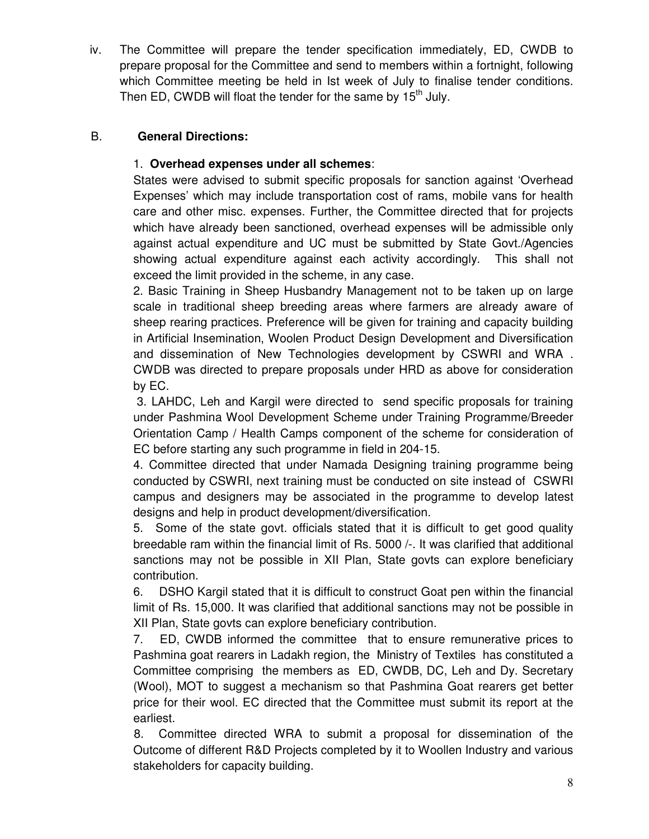iv. The Committee will prepare the tender specification immediately, ED, CWDB to prepare proposal for the Committee and send to members within a fortnight, following which Committee meeting be held in Ist week of July to finalise tender conditions. Then ED, CWDB will float the tender for the same by  $15<sup>th</sup>$  July.

# B. **General Directions:**

# 1. **Overhead expenses under all schemes**:

States were advised to submit specific proposals for sanction against 'Overhead Expenses' which may include transportation cost of rams, mobile vans for health care and other misc. expenses. Further, the Committee directed that for projects which have already been sanctioned, overhead expenses will be admissible only against actual expenditure and UC must be submitted by State Govt./Agencies showing actual expenditure against each activity accordingly. This shall not exceed the limit provided in the scheme, in any case.

2. Basic Training in Sheep Husbandry Management not to be taken up on large scale in traditional sheep breeding areas where farmers are already aware of sheep rearing practices. Preference will be given for training and capacity building in Artificial Insemination, Woolen Product Design Development and Diversification and dissemination of New Technologies development by CSWRI and WRA . CWDB was directed to prepare proposals under HRD as above for consideration by EC.

 3. LAHDC, Leh and Kargil were directed to send specific proposals for training under Pashmina Wool Development Scheme under Training Programme/Breeder Orientation Camp / Health Camps component of the scheme for consideration of EC before starting any such programme in field in 204-15.

4. Committee directed that under Namada Designing training programme being conducted by CSWRI, next training must be conducted on site instead of CSWRI campus and designers may be associated in the programme to develop latest designs and help in product development/diversification.

5. Some of the state govt. officials stated that it is difficult to get good quality breedable ram within the financial limit of Rs. 5000 /-. It was clarified that additional sanctions may not be possible in XII Plan, State govts can explore beneficiary contribution.

6. DSHO Kargil stated that it is difficult to construct Goat pen within the financial limit of Rs. 15,000. It was clarified that additional sanctions may not be possible in XII Plan, State govts can explore beneficiary contribution.

7. ED, CWDB informed the committee that to ensure remunerative prices to Pashmina goat rearers in Ladakh region, the Ministry of Textiles has constituted a Committee comprising the members as ED, CWDB, DC, Leh and Dy. Secretary (Wool), MOT to suggest a mechanism so that Pashmina Goat rearers get better price for their wool. EC directed that the Committee must submit its report at the earliest.

8. Committee directed WRA to submit a proposal for dissemination of the Outcome of different R&D Projects completed by it to Woollen Industry and various stakeholders for capacity building.